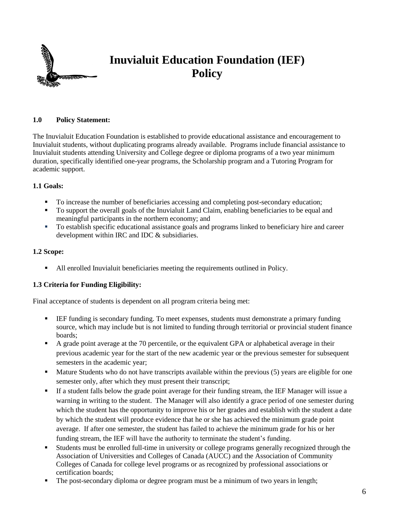

## **1.0 Policy Statement:**

The Inuvialuit Education Foundation is established to provide educational assistance and encouragement to Inuvialuit students, without duplicating programs already available. Programs include financial assistance to Inuvialuit students attending University and College degree or diploma programs of a two year minimum duration, specifically identified one-year programs, the Scholarship program and a Tutoring Program for academic support.

## **1.1 Goals:**

- To increase the number of beneficiaries accessing and completing post-secondary education;
- To support the overall goals of the Inuvialuit Land Claim, enabling beneficiaries to be equal and meaningful participants in the northern economy; and
- To establish specific educational assistance goals and programs linked to beneficiary hire and career development within IRC and IDC & subsidiaries.

## **1.2 Scope:**

All enrolled Inuvialuit beneficiaries meeting the requirements outlined in Policy.

# **1.3 Criteria for Funding Eligibility:**

Final acceptance of students is dependent on all program criteria being met:

- **IEF** funding is secondary funding. To meet expenses, students must demonstrate a primary funding source, which may include but is not limited to funding through territorial or provincial student finance boards;
- A grade point average at the 70 percentile, or the equivalent GPA or alphabetical average in their previous academic year for the start of the new academic year or the previous semester for subsequent semesters in the academic year;
- **Mature Students who do not have transcripts available within the previous (5) years are eligible for one** semester only, after which they must present their transcript;
- If a student falls below the grade point average for their funding stream, the IEF Manager will issue a warning in writing to the student. The Manager will also identify a grace period of one semester during which the student has the opportunity to improve his or her grades and establish with the student a date by which the student will produce evidence that he or she has achieved the minimum grade point average. If after one semester, the student has failed to achieve the minimum grade for his or her funding stream, the IEF will have the authority to terminate the student's funding.
- Students must be enrolled full-time in university or college programs generally recognized through the Association of Universities and Colleges of Canada (AUCC) and the Association of Community Colleges of Canada for college level programs or as recognized by professional associations or certification boards;
- The post-secondary diploma or degree program must be a minimum of two years in length;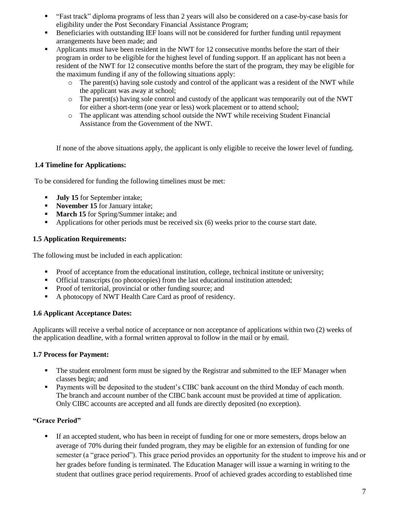- "Fast track" diploma programs of less than 2 years will also be considered on a case-by-case basis for eligibility under the Post Secondary Financial Assistance Program;
- Beneficiaries with outstanding IEF loans will not be considered for further funding until repayment arrangements have been made; and
- **•** Applicants must have been resident in the NWT for 12 consecutive months before the start of their program in order to be eligible for the highest level of funding support. If an applicant has not been a resident of the NWT for 12 consecutive months before the start of the program, they may be eligible for the maximum funding if any of the following situations apply:
	- $\circ$  The parent(s) having sole custody and control of the applicant was a resident of the NWT while the applicant was away at school;
	- $\circ$  The parent(s) having sole control and custody of the applicant was temporarily out of the NWT for either a short-term (one year or less) work placement or to attend school;
	- o The applicant was attending school outside the NWT while receiving Student Financial Assistance from the Government of the NWT.

If none of the above situations apply, the applicant is only eligible to receive the lower level of funding.

## **1.4 Timeline for Applications:**

To be considered for funding the following timelines must be met:

- **July 15** for September intake;
- **November 15** for January intake;
- **March 15** for Spring/Summer intake; and
- Applications for other periods must be received six (6) weeks prior to the course start date.

## **1.5 Application Requirements:**

The following must be included in each application:

- Proof of acceptance from the educational institution, college, technical institute or university;
- Official transcripts (no photocopies) from the last educational institution attended;
- **Proof of territorial, provincial or other funding source; and**
- A photocopy of NWT Health Care Card as proof of residency.

#### **1.6 Applicant Acceptance Dates:**

Applicants will receive a verbal notice of acceptance or non acceptance of applications within two (2) weeks of the application deadline, with a formal written approval to follow in the mail or by email.

#### **1.7 Process for Payment:**

- The student enrolment form must be signed by the Registrar and submitted to the IEF Manager when classes begin; and
- **Payments will be deposited to the student's CIBC bank account on the third Monday of each month.** The branch and account number of the CIBC bank account must be provided at time of application. Only CIBC accounts are accepted and all funds are directly deposited (no exception).

# **"Grace Period"**

If an accepted student, who has been in receipt of funding for one or more semesters, drops below an average of 70% during their funded program, they may be eligible for an extension of funding for one semester (a "grace period"). This grace period provides an opportunity for the student to improve his and or her grades before funding is terminated. The Education Manager will issue a warning in writing to the student that outlines grace period requirements. Proof of achieved grades according to established time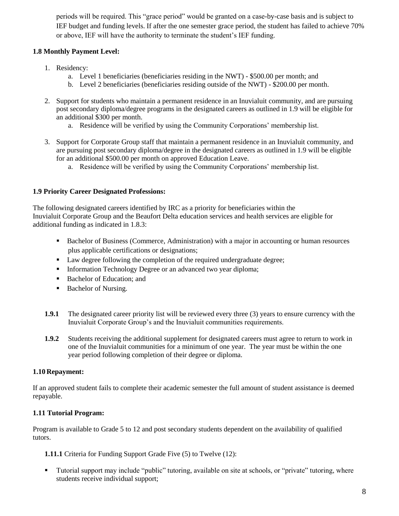periods will be required. This "grace period" would be granted on a case-by-case basis and is subject to IEF budget and funding levels. If after the one semester grace period, the student has failed to achieve 70% or above, IEF will have the authority to terminate the student's IEF funding.

# **1.8 Monthly Payment Level:**

- 1. Residency:
	- a. Level 1 beneficiaries (beneficiaries residing in the NWT) \$500.00 per month; and
	- b. Level 2 beneficiaries (beneficiaries residing outside of the NWT) \$200.00 per month.
- 2. Support for students who maintain a permanent residence in an Inuvialuit community, and are pursuing post secondary diploma/degree programs in the designated careers as outlined in 1.9 will be eligible for an additional \$300 per month.
	- a. Residence will be verified by using the Community Corporations' membership list.
- 3. Support for Corporate Group staff that maintain a permanent residence in an Inuvialuit community, and are pursuing post secondary diploma/degree in the designated careers as outlined in 1.9 will be eligible for an additional \$500.00 per month on approved Education Leave.
	- a. Residence will be verified by using the Community Corporations' membership list.

# **1.9 Priority Career Designated Professions:**

The following designated careers identified by IRC as a priority for beneficiaries within the Inuvialuit Corporate Group and the Beaufort Delta education services and health services are eligible for additional funding as indicated in 1.8.3:

- Bachelor of Business (Commerce, Administration) with a major in accounting or human resources plus applicable certifications or designations;
- Law degree following the completion of the required undergraduate degree;
- Information Technology Degree or an advanced two year diploma;
- Bachelor of Education; and
- Bachelor of Nursing.
- **1.9.1** The designated career priority list will be reviewed every three (3) years to ensure currency with the Inuvialuit Corporate Group's and the Inuvialuit communities requirements.
- **1.9.2** Students receiving the additional supplement for designated careers must agree to return to work in one of the Inuvialuit communities for a minimum of one year. The year must be within the one year period following completion of their degree or diploma.

# **1.10 Repayment:**

If an approved student fails to complete their academic semester the full amount of student assistance is deemed repayable.

# **1.11 Tutorial Program:**

Program is available to Grade 5 to 12 and post secondary students dependent on the availability of qualified tutors.

**1.11.1** Criteria for Funding Support Grade Five (5) to Twelve (12):

 Tutorial support may include "public" tutoring, available on site at schools, or "private" tutoring, where students receive individual support;